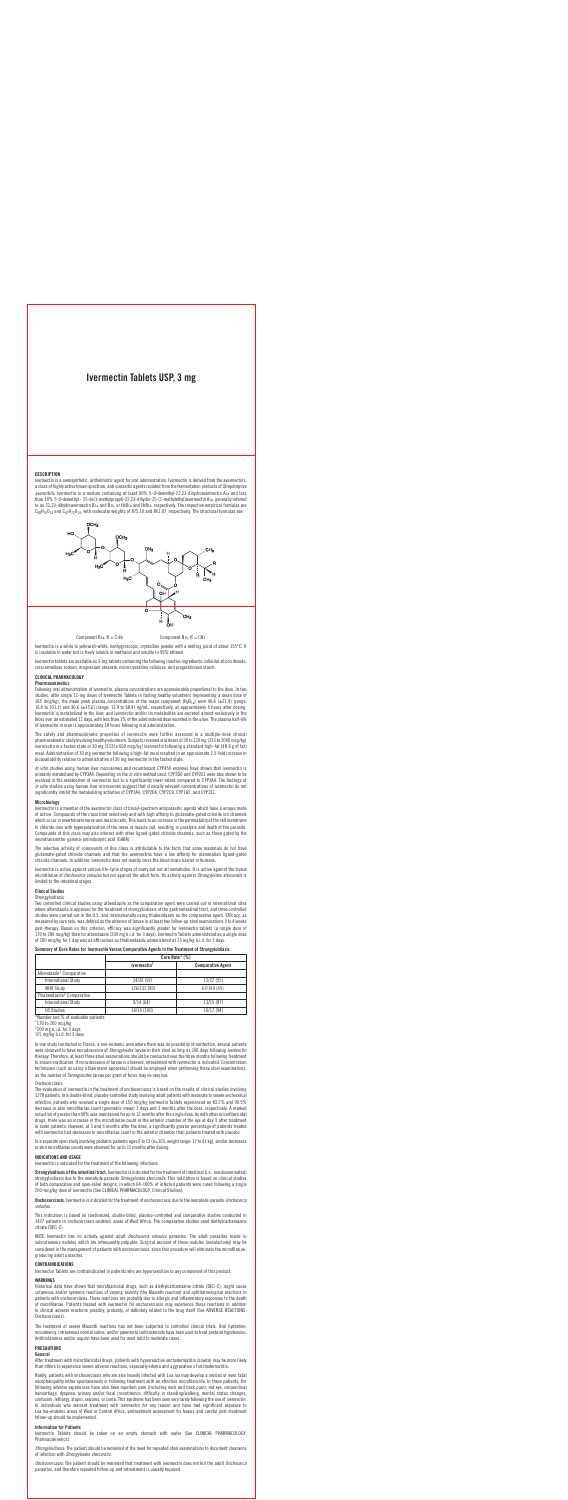# Ivermectin Tablets USP, 3 mg

Ivermectin is a semisynthetic, anthelmintic agent for oral administration. Ivermectin is derived from the avermectins, a class of highly active broad-spectrum, anti-parasitic agents isolated from the fermentation products of *Streptomyces*<br>*avermitilis.* Ivermectin is a mixture containing at least 90% 5-*0*-demethyl-22,23-dihydroavermectin than 10% 5-*O*-demethyl - 25-de(1-methylpropyl)-22,23-dihydro-25-(1-methylethyl)avermectin A13, generally referred<br>to as 22,23-dihydroavermectin B1<sub>8</sub> and B1<sub>b</sub>, or H<sub>2</sub>B1<sub>8</sub> and H2B1<sub>b</sub>, respectively. The respective empir



Component  $B_{1a}$ ,  $R = C_2H_5$  Component  $B_{1b}$ ,  $R = CH_3$ 

#### DESCRIPTION

Ivermectin is a white to yellowish-white, nonhygroscopic, crystalline powder with a melting point of about 155°C. It is insoluble in water but is freely soluble in methanol and soluble in 95% ethanol.

Ivermectin tablets are available as 3-mg tablets containing the following inactive ingredients: colloidal silicon dioxide, croscarmellose sodium, magnesium stearate, microcrystalline cellulose, and pregelatinized starch.

#### CLINICAL PHARMACOLOGY Pharmacokinetics

The safety and pharmacokinetic properties of ivermectin were further assessed in a multiple-dose clinical<br>pharmacokinetic study involving healthy volunteers. Subjects received oral doses of 30 to 120 mg (333 to 2000 mcg/kg meal. Administration of 30 mg ivermectin following a high-fat meal resulted in an approximate 2.5-fold increase in bioavailability relative to administration of 30 mg Ivermectin in the fasted state.

Following oral administration of ivermectin, plasma concentrations are approximately proportional to the dose. In two studies, after single 12-mg doses of Ivermectin Tablets in fasting healthy volunteers (representing a mean dose of<br>165 mcg/kg), the mean peak plasma concentrations of the major component (H2B1<sub>8</sub>) were 46.6 (±21.9) (range: Ivermectin is metabolized in the liver, and ivermectin and/or its metabolites are excreted almost exclusively in the feces over an estimated 12 days, with less than 1% of the administered dose excreted in the urine. The plasma half-life of ivermectin in man is approximately 18 hours following oral administration.

Ivermectin is active against various life-cycle stages of many but not all nematodes. It is active against the tissue microfilariae of *Onchocerca volvulus* but not against the adult form. Its activity against *Strongyloides stercoralis* is limited to the intestinal stages.

#### Clinical Studies **Strongyloidiasis**

*In vitro* studies using human liver microsomes and recombinant CYP450 enzymes have shown that ivermectin is primarily metabolized by CYP3A4. Depending on the *in vitro* method used, CYP2D6 and CYP2E1 were also shown to be involved in the metabolism of ivermectin but to a significantly lower extent compared to CYP3A4. The findings of

*in vitro* studies using human liver microsomes suggest that clinically relevant concentrations of ivermectin do not significantly inhibit the metabolizing activities of CYP3A4, CYP2D6, CYP2C9, CYP1A2, and CYP2E1.

## **Microbiology**

Ivermectin is a member of the avermectin class of broad-spectrum antiparasitic agents which have a unique mode of action. Compounds of the class bind selectively and with high affinity to glutamate-gated chloride ion channels which occur in invertebrate nerve and muscle cells. This leads to an increase in the permeability of the cell membrane to chloride ions with hyperpolarization of the nerve or muscle cell, resulting in paralysis and death of the parasite. Compounds of this class may also interact with other ligand-gated chloride channels, such as those gated by the neurotransmitter gamma-aminobutyric acid (GABA).

The selective activity of compounds of this class is attributable to the facts that some mammals do not have glutamate-gated chloride channels and that the avermectins have a low affinity for mammalian ligand-gated chloride channels. In addition, Ivermectin does not readily cross the blood-brain barrier in humans.

Two controlled clinical studies using albendazole as the comparative agent were carried out in international sites where albendazole is approved for the treatment of strongyloidiasis of the gastrointestinal tract, and three controlled<br>studies were carried out in the U.S. and internationally using thiabendazole as the comparative agent. measured by cure rate, was defined as the absence of larvae in at least two follow-up stool examinations 3 to 4 weeks post-therapy. Based on this criterion, efficacy was significantly greater for Ivermectin tablets (a single dose of<br>170 to 200 mcg/kg) than for albendazole (200 mg b.i.d. for 3 days). Ivermectin Tablets administered as a si of 200 mcg/kg for 1 day was as efficacious as thiabendazole administered at 25 mg/kg b.i.d. for 3 days.

Summary of Cure Rates for Ivermectin Versus Comparative Agents in the Treatment of Strongyloidiasis

|                                        | Cure Rate* $(\%)$       |                          |
|----------------------------------------|-------------------------|--------------------------|
|                                        | Ivermectin <sup>†</sup> | <b>Comparative Agent</b> |
| Albendazole <sup>‡</sup> Comparative   |                         |                          |
| <b>International Study</b>             | 24/26 (92)              | 12/22 (55)               |
| <b>WHO Study</b>                       | 126/152 (83)            | 67/149 (45)              |
| Thiabendazole <sup>§</sup> Comparative |                         |                          |
| <b>International Study</b>             | 9/14(64)                | 13/15 (87)               |
| <b>US Studies</b>                      | 14/14 (100)             | 16/17 (94)               |

\*Number and % of evaluable patients

†170 to 200 mcg/kg ‡200 mg b.i.d. for 3 days

§25 mg/kg b.i.d. for 3 days

In one study conducted in France, a non-endemic area where there was no possibility of reinfection, several patients were observed to have recrudescence of *Strongyloides* larvae in their stool as long as 106 days following ivermectin therapy. Therefore, at least three stool examinations should be conducted over the three months following treatment to ensure eradication. If recrudescence of larvae is observed, retreatment with ivermectin is indicated. Concentration techniques (such as using a Baermann apparatus) should be employed when performing these stool examinations, as the number of *Strongyloides* larvae per gram of feces may be very low.

#### **Onchocerciasis**

The evaluation of ivermectin in the treatment of onchocerciasis is based on the results of clinical studies involving 1278 patients. In a double-blind, placebo-controlled study involving adult patients with moderate to severe onchocercal<br>infection, patients who received a single dose of 150 mcg/kg Ivermectin Tablets experienced an 83.2% a reduction of greater than 90% was maintained for up to 12 months after the single dose. As with other microfilaricidal<br>drugs, there was an increase in the microfilariae count in the anterior chamber of the eye at day 3 aft with ivermectin had decreases in microfilariae count in the anterior chamber than patients treated with placebo.

In a separate open study involving pediatric patients ages 6 to 13 (n=103; weight range: 17 to 41 kg), similar decreases in skin microfilariae counts were observed for up to 12 months after dosing.

#### INDICATIONS AND USAGE

Ivermectin is indicated for the treatment of the following infections:

Strongyloidiasis of the intestinal tract. Ivermectin is indicated for the treatment of intestinal (i.e., nondisseminated) strongyloidiasis due to the nematode parasite *Strongyloides stercoralis*. This indication is based on clinical studies of both comparative and open-label designs, in which 64-100% of infected patients were cured following a single<br>200-mcg/kg dose of ivermectin (See CLINICAL PHARMACOLOGY, Clinical Studies).

Onchocerciasis. Ivermectin is indicated for the treatment of onchocerciasis due to the nematode parasite *Onchocerca volvulus*.

This indication is based on randomized, double-blind, placebo-controlled and comparative studies conducted in 1427 patients in onchocerciasis-endemic areas of West Africa. The comparative studies used diethylcarbamazine citrate (DEC-C).

NOTE: Ivermectin has no activity against adult *Onchocerca volvulus* parasites. The adult parasites reside in subcutaneous nodules which are infrequently palpable. Surgical excision of these nodules (nodulectomy) may be considered in the management of patients with onchocerciasis, since this procedure will eliminate the microfilariaeproducing adult parasites.

### CONTRAINDICATIONS

Ivermectin Tablets are contraindicated in patients who are hypersensitive to any component of this product.

## WARNINGS

Historical data have shown that microfilaricidal drugs, such as diethylcarbamazine citrate (DEC-C), might cause cutaneous and/or systemic reactions of varying severity (the Mazzotti reaction) and ophthalmological reactions in<br>patients with onchocerciasis. These reactions are probably due to allergic and inflammatory responses to the of microfilariae. Patients treated with ivermectin for onchocerciasis may experience these reactions in addition to clinical adverse reactions possibly, probably, or definitely related to the drug itself (See ADVERSE REACTIONS, Onchocerciasis).

The treatment of severe Mazzotti reactions has not been subjected to controlled clinical trials. Oral hydration, recumbency, intravenous normal saline, and/or parenteral corticosteroids have been used to treat postural hypotensio Antihistamines and/or aspirin have been used for most mild to moderate cases.

## PRECAUTIONS

General

After treatment with microfilaricidal drugs, patients with hyperreactive onchodermatitis (sowda) may be more likely than others to experience severe adverse reactions, especially edema and aggravation of onchodermatitis.

Rarely, patients with onchocerciasis who are also heavily infected with *Loa loa* may develop a serious or even fatal encephalopathy either spontaneously or following treatment with an effective microfilaricide. In these patients, the following adverse experiences have also been reported: pain (including neck and back pain), red eye, conjunctival hemorrhage, dyspnea, urinary and/or fecal incontinence, difficulty in standing/walking, mental status changes, confusion, lethargy, stupor, seizures, or coma. This syndrome has been seen very rarely following the use of ivermectin.<br>In individuals who warrant treatment with ivermectin for any reason and have had signific follow-up should be implemented.

### Information for Patients

Ivermectin Tablets should be taken on an empty stomach with water (See CLINICAL PHARMACOLOGY, Pharmacokinetics).

*Strongyloidiasis:* The patient should be reminded of the need for repeated stool examinations to document clearance of infection with *Strongyloides stercoralis*.

*Onchocerciasis:* The patient should be reminded that treatment with ivermectin does not kill the adult *Onchocerca*  parasites, and therefore repeated follow-up and retreatment is usually required.